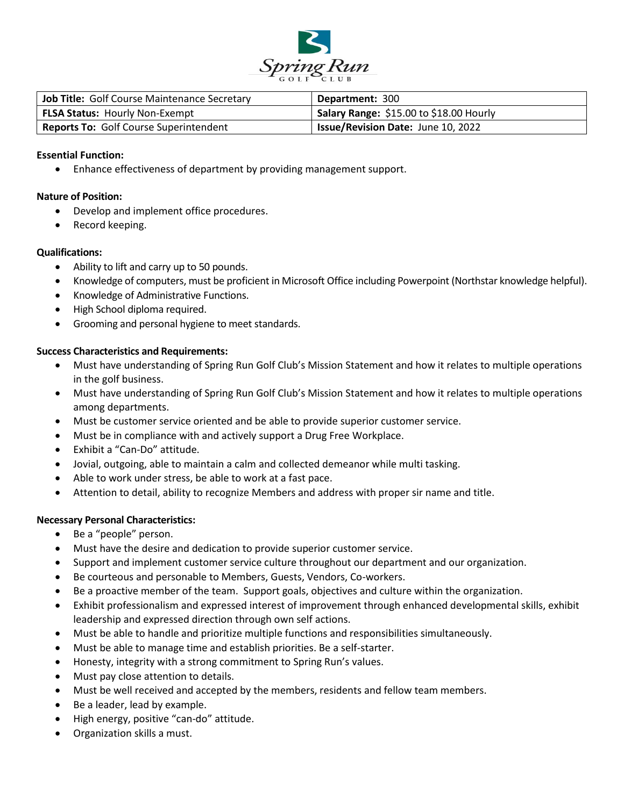

| Job Title: Golf Course Maintenance Secretary  | <b>Department: 300</b>                           |
|-----------------------------------------------|--------------------------------------------------|
| <b>FLSA Status: Hourly Non-Exempt</b>         | <b>Salary Range:</b> $$15.00$ to $$18.00$ Hourly |
| <b>Reports To: Golf Course Superintendent</b> | <b>Issue/Revision Date: June 10, 2022</b>        |

## **Essential Function:**

• Enhance effectiveness of department by providing management support.

## **Nature of Position:**

- Develop and implement office procedures.
- Record keeping.

## **Qualifications:**

- Ability to lift and carry up to 50 pounds.
- Knowledge of computers, must be proficient in Microsoft Office including Powerpoint (Northstar knowledge helpful).
- Knowledge of Administrative Functions.
- High School diploma required.
- Grooming and personal hygiene to meet standards.

## **Success Characteristics and Requirements:**

- Must have understanding of Spring Run Golf Club's Mission Statement and how it relates to multiple operations in the golf business.
- Must have understanding of Spring Run Golf Club's Mission Statement and how it relates to multiple operations among departments.
- Must be customer service oriented and be able to provide superior customer service.
- Must be in compliance with and actively support a Drug Free Workplace.
- Exhibit a "Can-Do" attitude.
- Jovial, outgoing, able to maintain a calm and collected demeanor while multi tasking.
- Able to work under stress, be able to work at a fast pace.
- Attention to detail, ability to recognize Members and address with proper sir name and title.

## **Necessary Personal Characteristics:**

- Be a "people" person.
- Must have the desire and dedication to provide superior customer service.
- Support and implement customer service culture throughout our department and our organization.
- Be courteous and personable to Members, Guests, Vendors, Co-workers.
- Be a proactive member of the team. Support goals, objectives and culture within the organization.
- Exhibit professionalism and expressed interest of improvement through enhanced developmental skills, exhibit leadership and expressed direction through own self actions.
- Must be able to handle and prioritize multiple functions and responsibilities simultaneously.
- Must be able to manage time and establish priorities. Be a self-starter.
- Honesty, integrity with a strong commitment to Spring Run's values.
- Must pay close attention to details.
- Must be well received and accepted by the members, residents and fellow team members.
- Be a leader, lead by example.
- High energy, positive "can-do" attitude.
- Organization skills a must.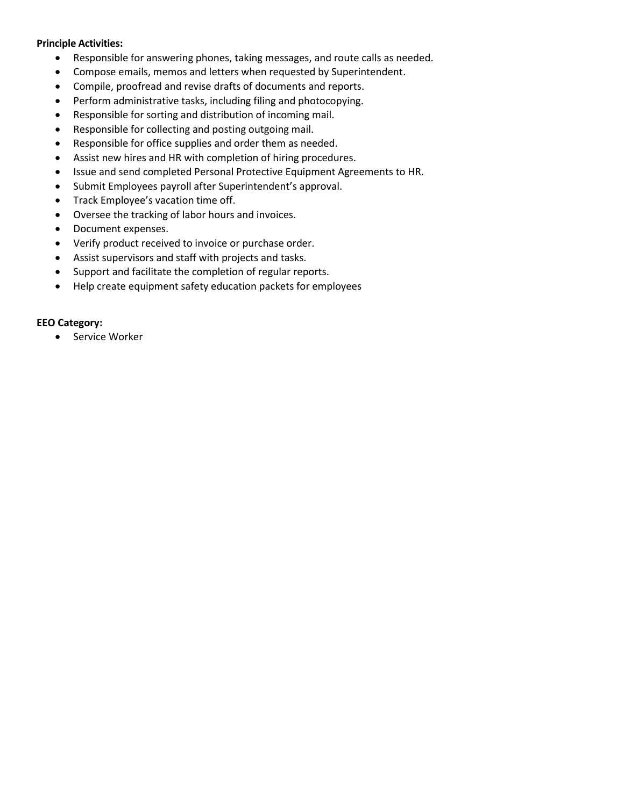#### **Principle Activities:**

- Responsible for answering phones, taking messages, and route calls as needed.
- Compose emails, memos and letters when requested by Superintendent.
- Compile, proofread and revise drafts of documents and reports.
- Perform administrative tasks, including filing and photocopying.
- Responsible for sorting and distribution of incoming mail.
- Responsible for collecting and posting outgoing mail.
- Responsible for office supplies and order them as needed.
- Assist new hires and HR with completion of hiring procedures.
- Issue and send completed Personal Protective Equipment Agreements to HR.
- Submit Employees payroll after Superintendent's approval.
- Track Employee's vacation time off.
- Oversee the tracking of labor hours and invoices.
- Document expenses.
- Verify product received to invoice or purchase order.
- Assist supervisors and staff with projects and tasks.
- Support and facilitate the completion of regular reports.
- Help create equipment safety education packets for employees

#### **EEO Category:**

• Service Worker